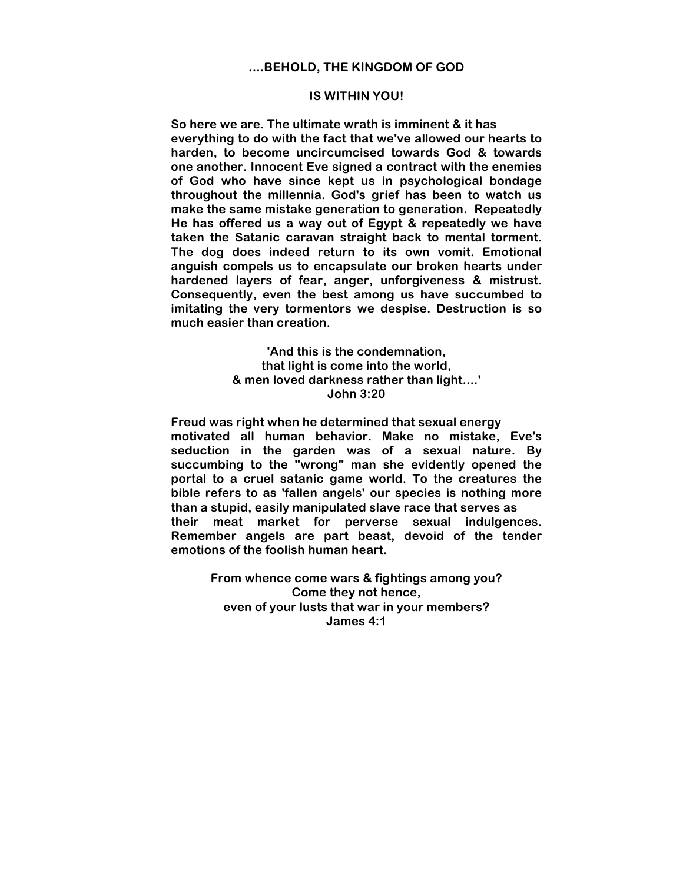## **....BEHOLD, THE KINGDOM OF GOD**

## **IS WITHIN YOU!**

**So here we are. The ultimate wrath is imminent & it has everything to do with the fact that we've allowed our hearts to harden, to become uncircumcised towards God & towards one another. Innocent Eve signed a contract with the enemies of God who have since kept us in psychological bondage throughout the millennia. God's grief has been to watch us make the same mistake generation to generation. Repeatedly He has offered us a way out of Egypt & repeatedly we have taken the Satanic caravan straight back to mental torment. The dog does indeed return to its own vomit. Emotional anguish compels us to encapsulate our broken hearts under hardened layers of fear, anger, unforgiveness & mistrust. Consequently, even the best among us have succumbed to imitating the very tormentors we despise. Destruction is so much easier than creation.**

> **'And this is the condemnation, that light is come into the world, & men loved darkness rather than light....' John 3:20**

**Freud was right when he determined that sexual energy motivated all human behavior. Make no mistake, Eve's seduction in the garden was of a sexual nature. By succumbing to the "wrong" man she evidently opened the portal to a cruel satanic game world. To the creatures the bible refers to as 'fallen angels' our species is nothing more than a stupid, easily manipulated slave race that serves as their meat market for perverse sexual indulgences. Remember angels are part beast, devoid of the tender emotions of the foolish human heart.**

> **From whence come wars & fightings among you? Come they not hence, even of your lusts that war in your members? James 4:1**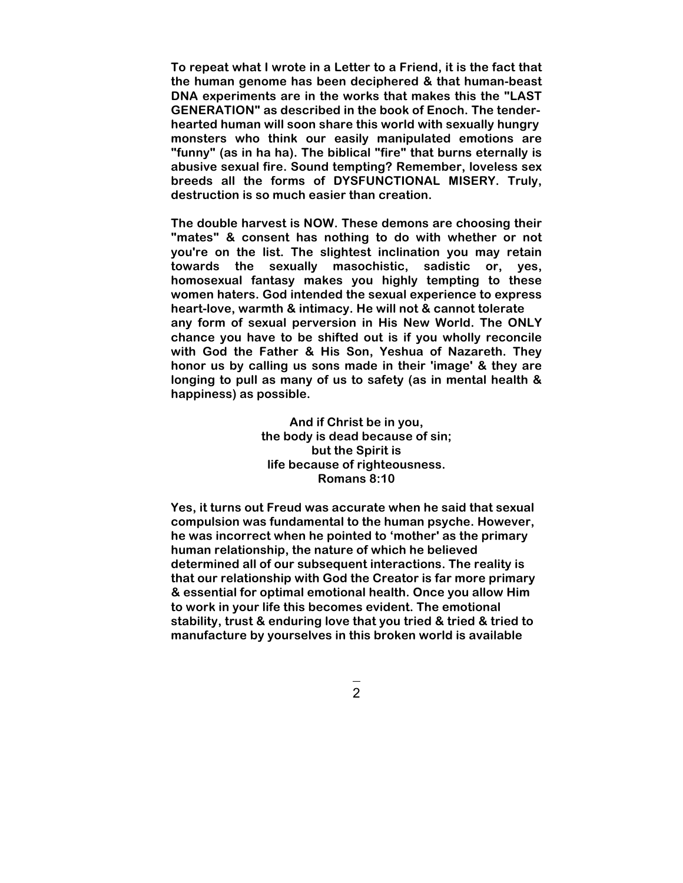**To repeat what I wrote in a Letter to a Friend, it is the fact that the human genome has been deciphered & that human-beast DNA experiments are in the works that makes this the "LAST GENERATION" as described in the book of Enoch. The tenderhearted human will soon share this world with sexually hungry monsters who think our easily manipulated emotions are "funny" (as in ha ha). The biblical "fire" that burns eternally is abusive sexual fire. Sound tempting? Remember, loveless sex breeds all the forms of DYSFUNCTIONAL MISERY. Truly, destruction is so much easier than creation.**

**The double harvest is NOW. These demons are choosing their "mates" & consent has nothing to do with whether or not you're on the list. The slightest inclination you may retain towards the sexually masochistic, sadistic or, yes, homosexual fantasy makes you highly tempting to these women haters. God intended the sexual experience to express heart-love, warmth & intimacy. He will not & cannot tolerate any form of sexual perversion in His New World. The ONLY chance you have to be shifted out is if you wholly reconcile with God the Father & His Son, Yeshua of Nazareth. They honor us by calling us sons made in their 'image' & they are longing to pull as many of us to safety (as in mental health & happiness) as possible.**

> **And if Christ be in you, the body is dead because of sin; but the Spirit is life because of righteousness. Romans 8:10**

**Yes, it turns out Freud was accurate when he said that sexual compulsion was fundamental to the human psyche. However, he was incorrect when he pointed to 'mother' as the primary human relationship, the nature of which he believed determined all of our subsequent interactions. The reality is that our relationship with God the Creator is far more primary & essential for optimal emotional health. Once you allow Him to work in your life this becomes evident. The emotional stability, trust & enduring love that you tried & tried & tried to manufacture by yourselves in this broken world is available**

2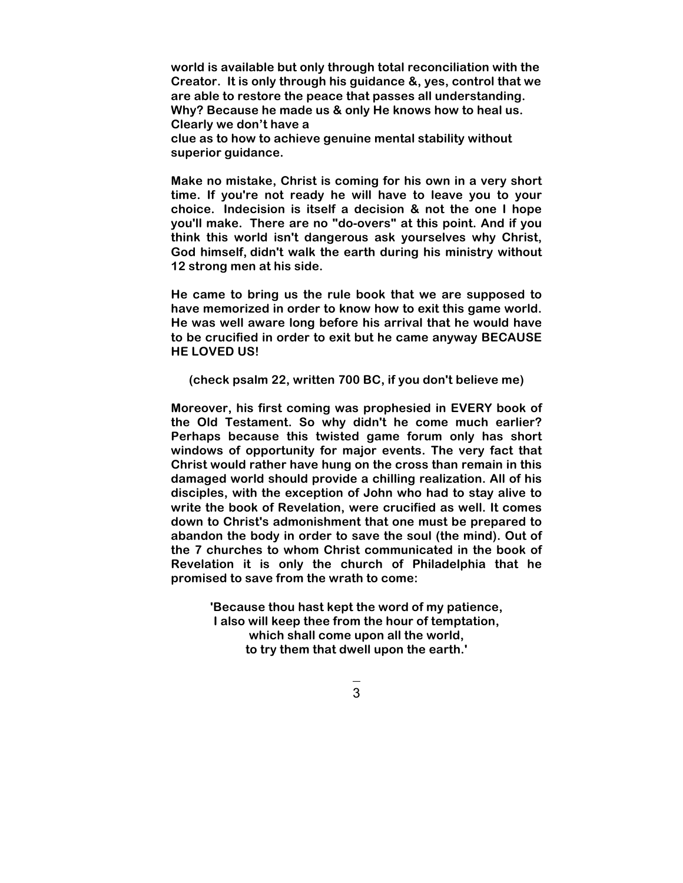**world is available but only through total reconciliation with the Creator. It is only through his guidance &, yes, control that we are able to restore the peace that passes all understanding. Why? Because he made us & only He knows how to heal us. Clearly we don't have a clue as to how to achieve genuine mental stability without superior guidance.**

**Make no mistake, Christ is coming for his own in a very short time. If you're not ready he will have to leave you to your choice. Indecision is itself a decision & not the one I hope you'll make. There are no "do-overs" at this point. And if you think this world isn't dangerous ask yourselves why Christ, God himself, didn't walk the earth during his ministry without 12 strong men at his side.**

**He came to bring us the rule book that we are supposed to have memorized in order to know how to exit this game world. He was well aware long before his arrival that he would have to be crucified in order to exit but he came anyway BECAUSE HE LOVED US!** 

**(check psalm 22, written 700 BC, if you don't believe me)**

**Moreover, his first coming was prophesied in EVERY book of the Old Testament. So why didn't he come much earlier? Perhaps because this twisted game forum only has short windows of opportunity for major events. The very fact that Christ would rather have hung on the cross than remain in this damaged world should provide a chilling realization. All of his disciples, with the exception of John who had to stay alive to write the book of Revelation, were crucified as well. It comes down to Christ's admonishment that one must be prepared to abandon the body in order to save the soul (the mind). Out of the 7 churches to whom Christ communicated in the book of Revelation it is only the church of Philadelphia that he promised to save from the wrath to come:**

> **'Because thou hast kept the word of my patience, I also will keep thee from the hour of temptation, which shall come upon all the world, to try them that dwell upon the earth.'**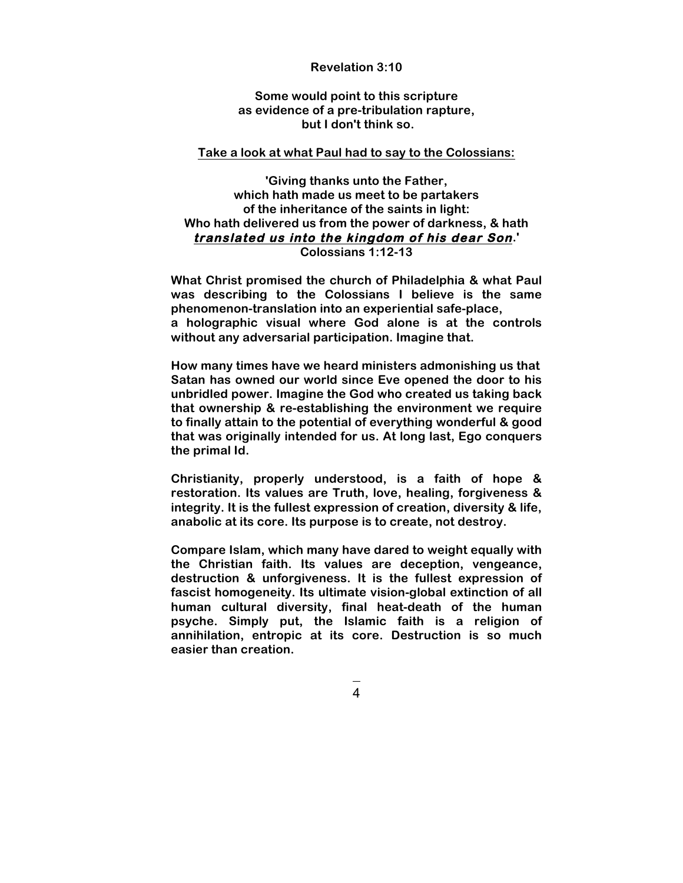## **Revelation 3:10**

**Some would point to this scripture as evidence of a pre-tribulation rapture, but I don't think so.** 

## **Take a look at what Paul had to say to the Colossians:**

**'Giving thanks unto the Father, which hath made us meet to be partakers of the inheritance of the saints in light: Who hath delivered us from the power of darkness, & hath translated us into the kingdom of his dear Son.' Colossians 1:12-13**

**What Christ promised the church of Philadelphia & what Paul was describing to the Colossians I believe is the same phenomenon-translation into an experiential safe-place, a holographic visual where God alone is at the controls without any adversarial participation. Imagine that.**

**How many times have we heard ministers admonishing us that Satan has owned our world since Eve opened the door to his unbridled power. Imagine the God who created us taking back that ownership & re-establishing the environment we require to finally attain to the potential of everything wonderful & good that was originally intended for us. At long last, Ego conquers the primal Id.**

**Christianity, properly understood, is a faith of hope & restoration. Its values are Truth, love, healing, forgiveness & integrity. It is the fullest expression of creation, diversity & life, anabolic at its core. Its purpose is to create, not destroy.**

**Compare Islam, which many have dared to weight equally with the Christian faith. Its values are deception, vengeance, destruction & unforgiveness. It is the fullest expression of fascist homogeneity. Its ultimate vision-global extinction of all human cultural diversity, final heat-death of the human psyche. Simply put, the Islamic faith is a religion of annihilation, entropic at its core. Destruction is so much easier than creation.**

4